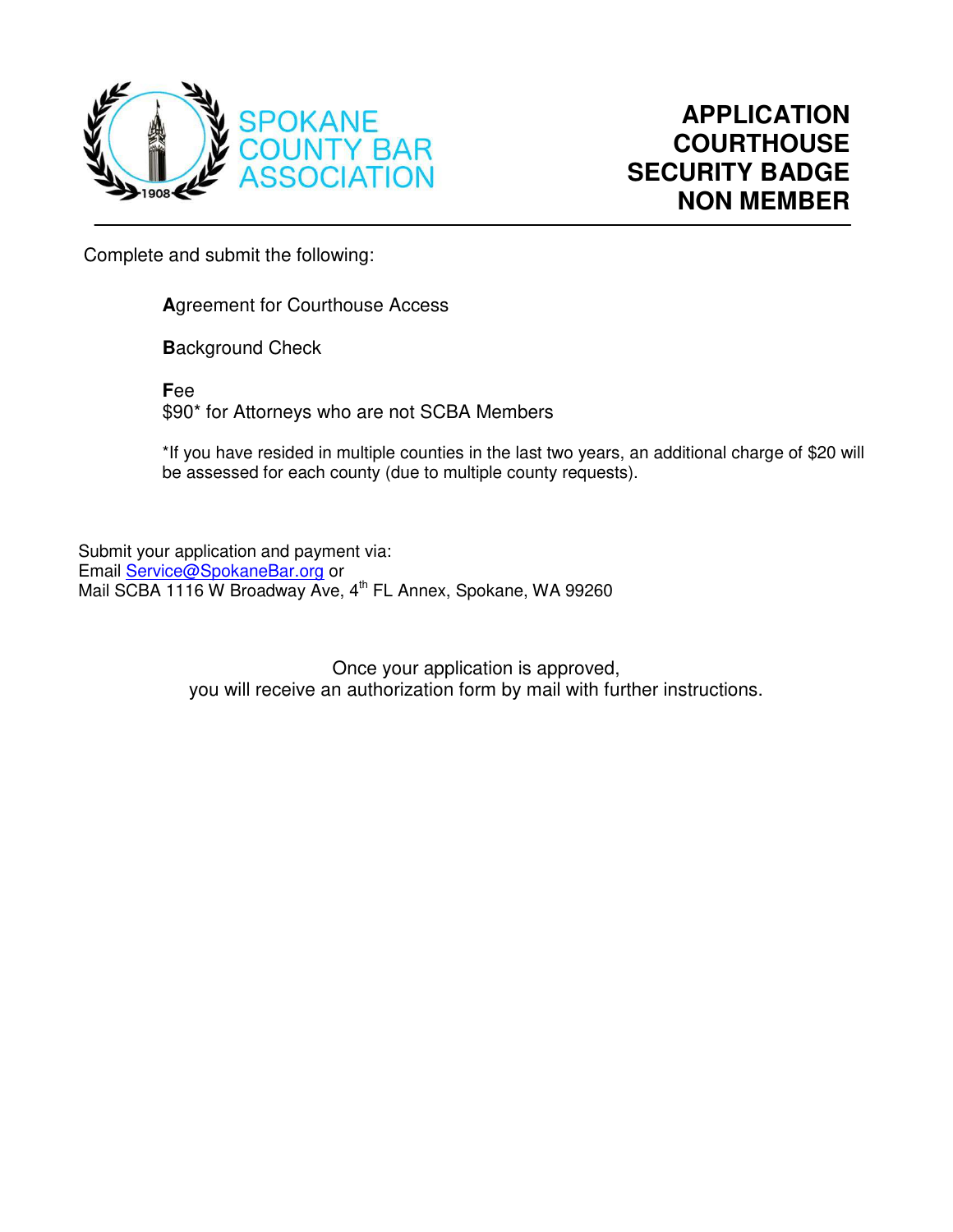

Complete and submit the following:

**A**greement for Courthouse Access

**B**ackground Check

**F**ee \$90\* for Attorneys who are not SCBA Members

\*If you have resided in multiple counties in the last two years, an additional charge of \$20 will be assessed for each county (due to multiple county requests).

Submit your application and payment via: Email [Service@SpokaneBar.org](mailto:Service@SpokaneBar.org) or Mail SCBA 1116 W Broadway Ave, 4<sup>th</sup> FL Annex, Spokane, WA 99260

> Once your application is approved, you will receive an authorization form by mail with further instructions.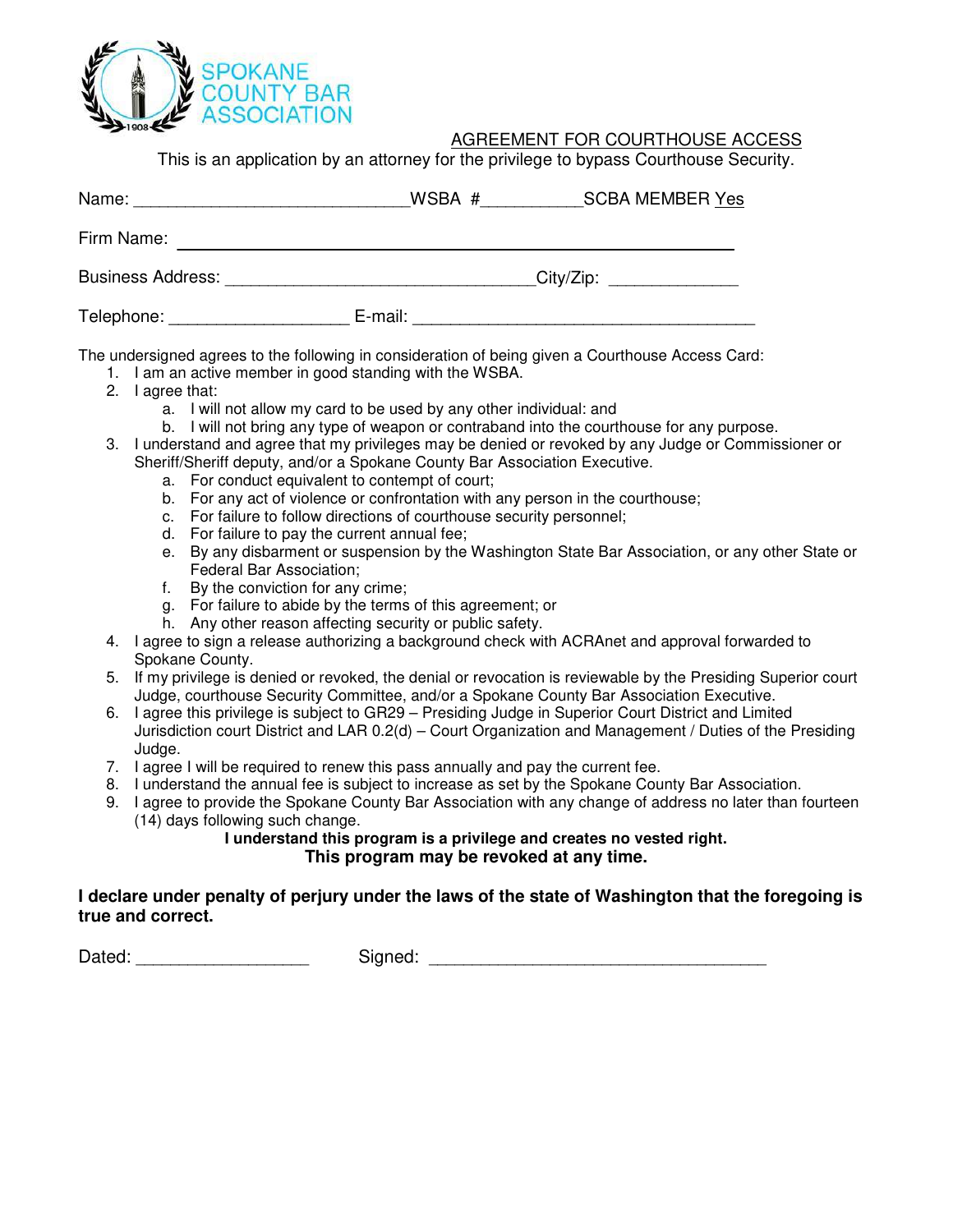

# AGREEMENT FOR COURTHOUSE ACCESS

This is an application by an attorney for the privilege to bypass Courthouse Security.

| Name:                    | WSBA #  | <b>SCBA MEMBER Yes</b>    |  |  |
|--------------------------|---------|---------------------------|--|--|
| Firm Name:               |         |                           |  |  |
| <b>Business Address:</b> |         | City/Zip: _______________ |  |  |
| Telephone:               | E-mail: |                           |  |  |

The undersigned agrees to the following in consideration of being given a Courthouse Access Card:

- 1. I am an active member in good standing with the WSBA.
- 2. I agree that:
	- a. I will not allow my card to be used by any other individual: and
	- b. I will not bring any type of weapon or contraband into the courthouse for any purpose.
- 3. I understand and agree that my privileges may be denied or revoked by any Judge or Commissioner or Sheriff/Sheriff deputy, and/or a Spokane County Bar Association Executive.
	- a. For conduct equivalent to contempt of court;
	- b. For any act of violence or confrontation with any person in the courthouse;
	- c. For failure to follow directions of courthouse security personnel;
	- d. For failure to pay the current annual fee;
	- e. By any disbarment or suspension by the Washington State Bar Association, or any other State or Federal Bar Association;
	- f. By the conviction for any crime;
	- g. For failure to abide by the terms of this agreement; or
	- h. Any other reason affecting security or public safety.
- 4. I agree to sign a release authorizing a background check with ACRAnet and approval forwarded to Spokane County.
- 5. If my privilege is denied or revoked, the denial or revocation is reviewable by the Presiding Superior court Judge, courthouse Security Committee, and/or a Spokane County Bar Association Executive.
- 6. I agree this privilege is subject to GR29 Presiding Judge in Superior Court District and Limited Jurisdiction court District and LAR 0.2(d) – Court Organization and Management / Duties of the Presiding Judge.
- 7. I agree I will be required to renew this pass annually and pay the current fee.
- 8. I understand the annual fee is subject to increase as set by the Spokane County Bar Association.
- 9. I agree to provide the Spokane County Bar Association with any change of address no later than fourteen (14) days following such change.

#### **I understand this program is a privilege and creates no vested right. This program may be revoked at any time.**

#### **I declare under penalty of perjury under the laws of the state of Washington that the foregoing is true and correct.**

Dated: \_\_\_\_\_\_\_\_\_\_\_\_\_\_\_\_\_\_\_\_ Signed: \_\_\_\_\_\_\_\_\_\_\_\_\_\_\_\_\_\_\_\_\_\_\_\_\_\_\_\_\_\_\_\_\_\_\_\_\_\_\_